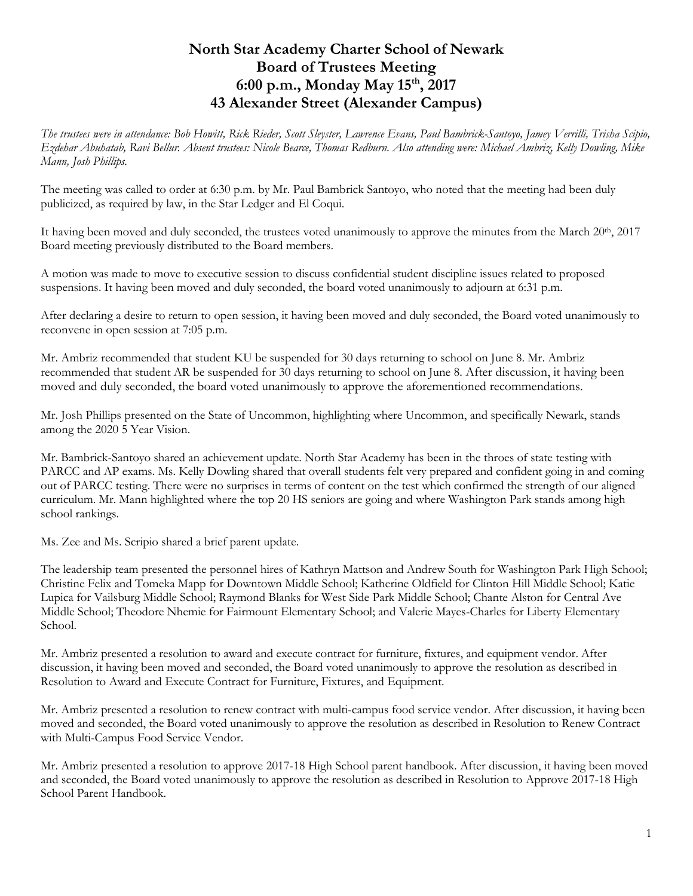## **North Star Academy Charter School of Newark Board of Trustees Meeting 6:00 p.m., Monday May 15th, 2017 43 Alexander Street (Alexander Campus)**

*The trustees were in attendance: Bob Howitt, Rick Rieder, Scott Sleyster, Lawrence Evans, Paul Bambrick-Santoyo, Jamey Verrilli, Trisha Scipio, Ezdehar Abuhatab, Ravi Bellur. Absent trustees: Nicole Bearce, Thomas Redburn. Also attending were: Michael Ambriz, Kelly Dowling, Mike Mann, Josh Phillips.* 

The meeting was called to order at 6:30 p.m. by Mr. Paul Bambrick Santoyo, who noted that the meeting had been duly publicized, as required by law, in the Star Ledger and El Coqui.

It having been moved and duly seconded, the trustees voted unanimously to approve the minutes from the March  $20<sup>th</sup>$ ,  $2017$ Board meeting previously distributed to the Board members.

A motion was made to move to executive session to discuss confidential student discipline issues related to proposed suspensions. It having been moved and duly seconded, the board voted unanimously to adjourn at 6:31 p.m.

After declaring a desire to return to open session, it having been moved and duly seconded, the Board voted unanimously to reconvene in open session at 7:05 p.m.

Mr. Ambriz recommended that student KU be suspended for 30 days returning to school on June 8. Mr. Ambriz recommended that student AR be suspended for 30 days returning to school on June 8. After discussion, it having been moved and duly seconded, the board voted unanimously to approve the aforementioned recommendations.

Mr. Josh Phillips presented on the State of Uncommon, highlighting where Uncommon, and specifically Newark, stands among the 2020 5 Year Vision.

Mr. Bambrick-Santoyo shared an achievement update. North Star Academy has been in the throes of state testing with PARCC and AP exams. Ms. Kelly Dowling shared that overall students felt very prepared and confident going in and coming out of PARCC testing. There were no surprises in terms of content on the test which confirmed the strength of our aligned curriculum. Mr. Mann highlighted where the top 20 HS seniors are going and where Washington Park stands among high school rankings.

Ms. Zee and Ms. Scripio shared a brief parent update.

The leadership team presented the personnel hires of Kathryn Mattson and Andrew South for Washington Park High School; Christine Felix and Tomeka Mapp for Downtown Middle School; Katherine Oldfield for Clinton Hill Middle School; Katie Lupica for Vailsburg Middle School; Raymond Blanks for West Side Park Middle School; Chante Alston for Central Ave Middle School; Theodore Nhemie for Fairmount Elementary School; and Valerie Mayes-Charles for Liberty Elementary School.

Mr. Ambriz presented a resolution to award and execute contract for furniture, fixtures, and equipment vendor. After discussion, it having been moved and seconded, the Board voted unanimously to approve the resolution as described in Resolution to Award and Execute Contract for Furniture, Fixtures, and Equipment.

Mr. Ambriz presented a resolution to renew contract with multi-campus food service vendor. After discussion, it having been moved and seconded, the Board voted unanimously to approve the resolution as described in Resolution to Renew Contract with Multi-Campus Food Service Vendor.

Mr. Ambriz presented a resolution to approve 2017-18 High School parent handbook. After discussion, it having been moved and seconded, the Board voted unanimously to approve the resolution as described in Resolution to Approve 2017-18 High School Parent Handbook.